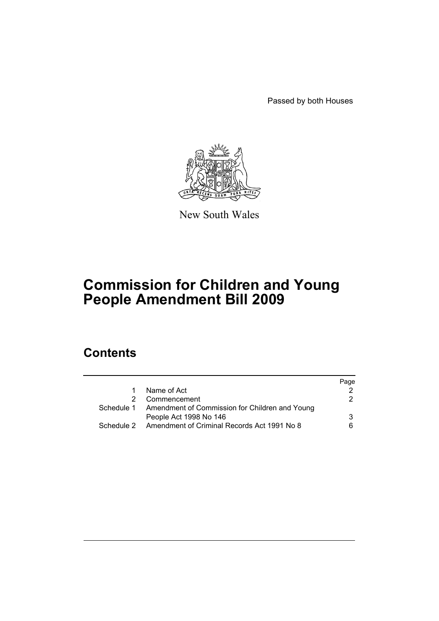Passed by both Houses



New South Wales

# **Commission for Children and Young People Amendment Bill 2009**

## **Contents**

|                                                           | Page |
|-----------------------------------------------------------|------|
| Name of Act                                               |      |
| Commencement                                              | 2    |
| Schedule 1 Amendment of Commission for Children and Young |      |
| People Act 1998 No 146                                    | 3    |
| Schedule 2 Amendment of Criminal Records Act 1991 No 8    | 6    |
|                                                           |      |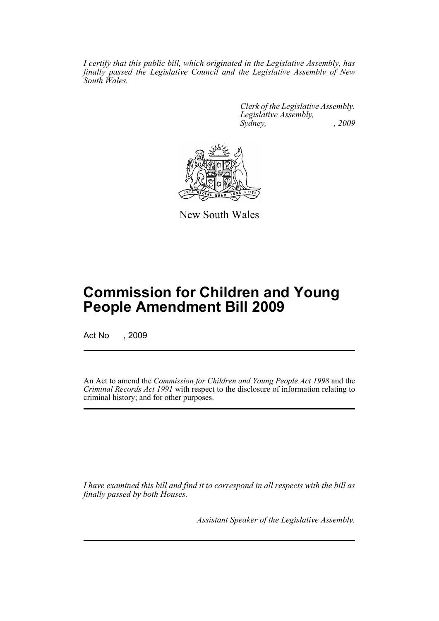*I certify that this public bill, which originated in the Legislative Assembly, has finally passed the Legislative Council and the Legislative Assembly of New South Wales.*

> *Clerk of the Legislative Assembly. Legislative Assembly, Sydney, , 2009*



New South Wales

## **Commission for Children and Young People Amendment Bill 2009**

Act No , 2009

An Act to amend the *Commission for Children and Young People Act 1998* and the *Criminal Records Act 1991* with respect to the disclosure of information relating to criminal history; and for other purposes.

*I have examined this bill and find it to correspond in all respects with the bill as finally passed by both Houses.*

*Assistant Speaker of the Legislative Assembly.*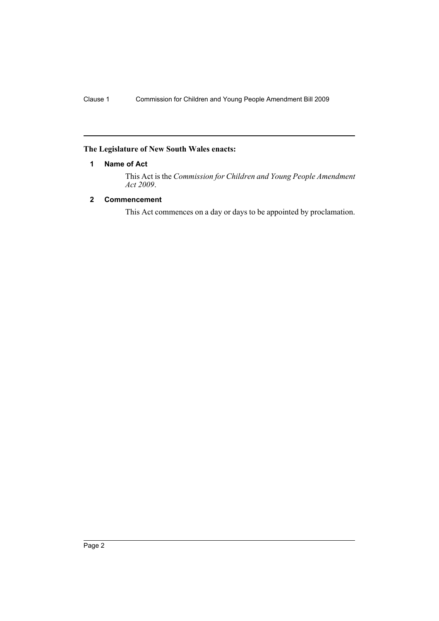#### <span id="page-2-0"></span>**The Legislature of New South Wales enacts:**

#### **1 Name of Act**

This Act is the *Commission for Children and Young People Amendment Act 2009*.

#### <span id="page-2-1"></span>**2 Commencement**

This Act commences on a day or days to be appointed by proclamation.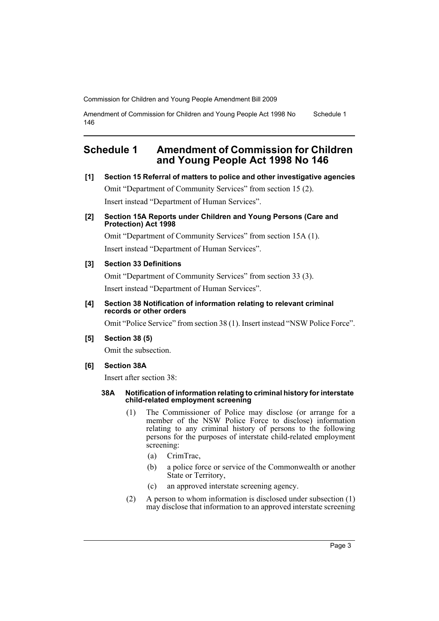Amendment of Commission for Children and Young People Act 1998 No 146 Schedule 1

### <span id="page-3-0"></span>**Schedule 1 Amendment of Commission for Children and Young People Act 1998 No 146**

**[1] Section 15 Referral of matters to police and other investigative agencies**

Omit "Department of Community Services" from section 15 (2). Insert instead "Department of Human Services".

#### **[2] Section 15A Reports under Children and Young Persons (Care and Protection) Act 1998**

Omit "Department of Community Services" from section 15A (1). Insert instead "Department of Human Services".

#### **[3] Section 33 Definitions**

Omit "Department of Community Services" from section 33 (3). Insert instead "Department of Human Services".

#### **[4] Section 38 Notification of information relating to relevant criminal records or other orders**

Omit "Police Service" from section 38 (1). Insert instead "NSW Police Force".

#### **[5] Section 38 (5)**

Omit the subsection.

#### **[6] Section 38A**

Insert after section 38:

#### **38A Notification of information relating to criminal history for interstate child-related employment screening**

- (1) The Commissioner of Police may disclose (or arrange for a member of the NSW Police Force to disclose) information relating to any criminal history of persons to the following persons for the purposes of interstate child-related employment screening:
	- (a) CrimTrac,
	- (b) a police force or service of the Commonwealth or another State or Territory,
	- (c) an approved interstate screening agency.
- (2) A person to whom information is disclosed under subsection (1) may disclose that information to an approved interstate screening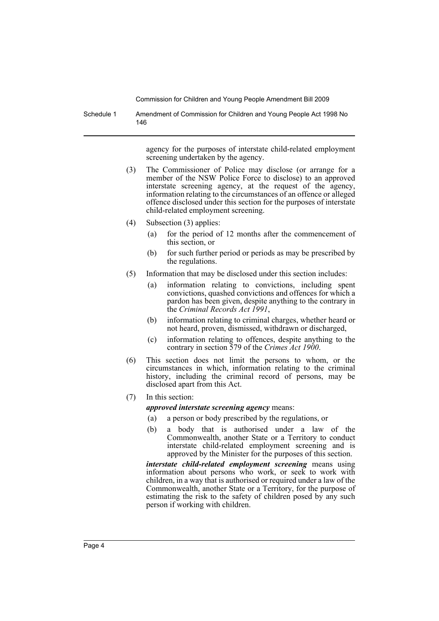Schedule 1 Amendment of Commission for Children and Young People Act 1998 No 146

> agency for the purposes of interstate child-related employment screening undertaken by the agency.

- (3) The Commissioner of Police may disclose (or arrange for a member of the NSW Police Force to disclose) to an approved interstate screening agency, at the request of the agency, information relating to the circumstances of an offence or alleged offence disclosed under this section for the purposes of interstate child-related employment screening.
- (4) Subsection (3) applies:
	- (a) for the period of 12 months after the commencement of this section, or
	- (b) for such further period or periods as may be prescribed by the regulations.
- (5) Information that may be disclosed under this section includes:
	- (a) information relating to convictions, including spent convictions, quashed convictions and offences for which a pardon has been given, despite anything to the contrary in the *Criminal Records Act 1991*,
	- (b) information relating to criminal charges, whether heard or not heard, proven, dismissed, withdrawn or discharged,
	- (c) information relating to offences, despite anything to the contrary in section 579 of the *Crimes Act 1900*.
- (6) This section does not limit the persons to whom, or the circumstances in which, information relating to the criminal history, including the criminal record of persons, may be disclosed apart from this Act.
- (7) In this section:

*approved interstate screening agency* means:

- (a) a person or body prescribed by the regulations, or
- (b) a body that is authorised under a law of the Commonwealth, another State or a Territory to conduct interstate child-related employment screening and is approved by the Minister for the purposes of this section.

*interstate child-related employment screening* means using information about persons who work, or seek to work with children, in a way that is authorised or required under a law of the Commonwealth, another State or a Territory, for the purpose of estimating the risk to the safety of children posed by any such person if working with children.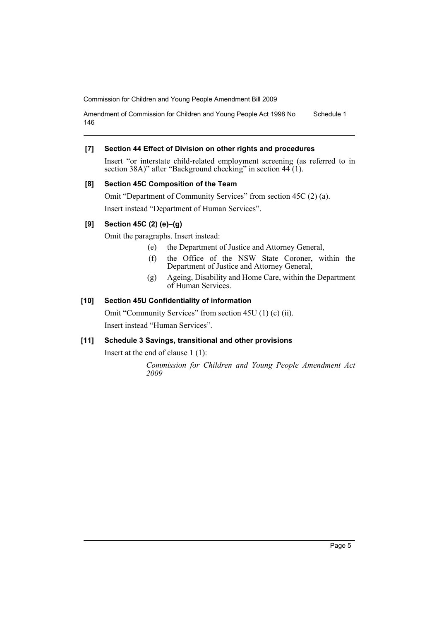Amendment of Commission for Children and Young People Act 1998 No 146 Schedule 1

#### **[7] Section 44 Effect of Division on other rights and procedures**

Insert "or interstate child-related employment screening (as referred to in section 38A)" after "Background checking" in section 44 (1).

#### **[8] Section 45C Composition of the Team**

Omit "Department of Community Services" from section 45C (2) (a). Insert instead "Department of Human Services".

#### **[9] Section 45C (2) (e)–(g)**

Omit the paragraphs. Insert instead:

- (e) the Department of Justice and Attorney General,
- (f) the Office of the NSW State Coroner, within the Department of Justice and Attorney General,
- (g) Ageing, Disability and Home Care, within the Department of Human Services.

#### **[10] Section 45U Confidentiality of information**

Omit "Community Services" from section 45U (1) (c) (ii). Insert instead "Human Services".

#### **[11] Schedule 3 Savings, transitional and other provisions**

Insert at the end of clause 1 (1):

*Commission for Children and Young People Amendment Act 2009*